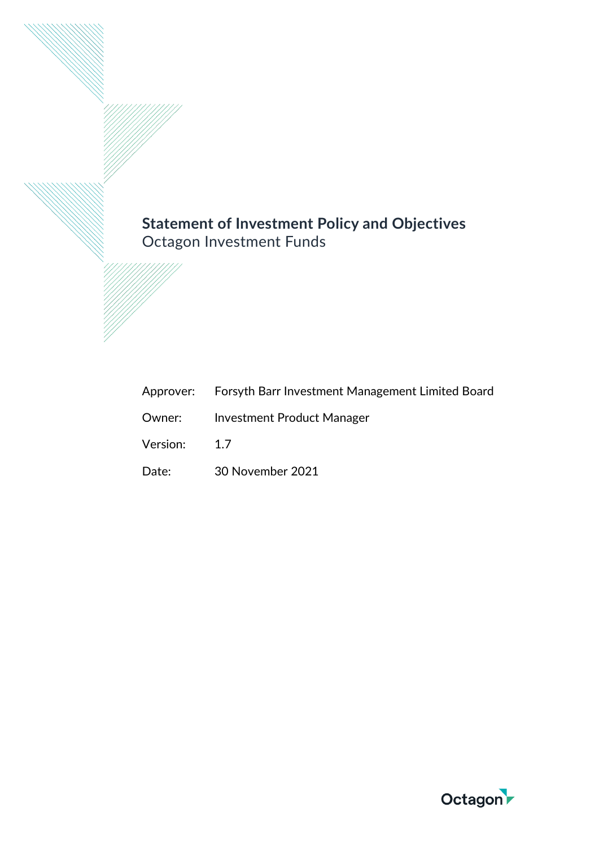# **Statement of Investment Policy and Objectives** Octagon Investment Funds

|              | Approver: Forsyth Barr Investment Management Limited Board |
|--------------|------------------------------------------------------------|
|              | <b>Owner:</b> Investment Product Manager                   |
| Version: 1.7 |                                                            |
| Date:        | 30 November 2021                                           |

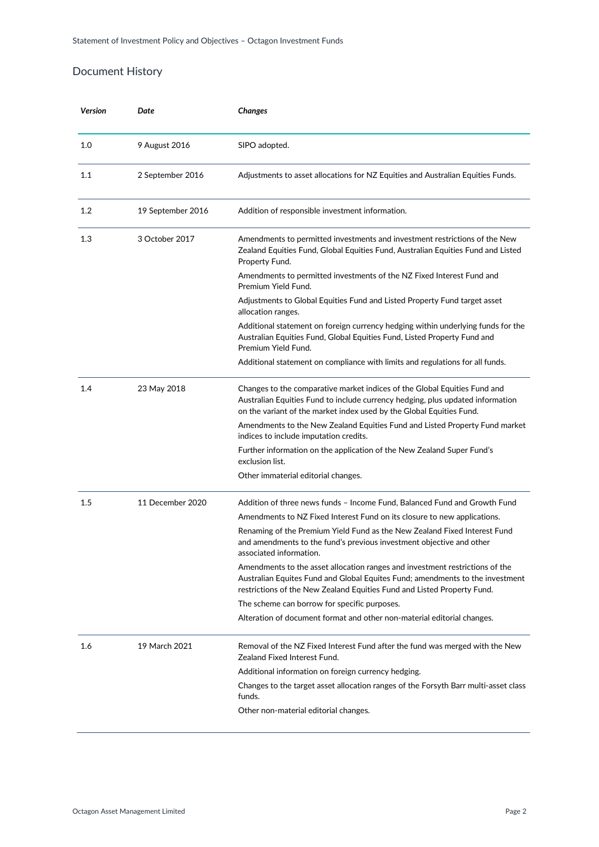# Document History

| Version | Date              | Changes                                                                                                                                                                                                                                  |
|---------|-------------------|------------------------------------------------------------------------------------------------------------------------------------------------------------------------------------------------------------------------------------------|
| 1.0     | 9 August 2016     | SIPO adopted.                                                                                                                                                                                                                            |
| 1.1     | 2 September 2016  | Adjustments to asset allocations for NZ Equities and Australian Equities Funds.                                                                                                                                                          |
| 1.2     | 19 September 2016 | Addition of responsible investment information.                                                                                                                                                                                          |
| 1.3     | 3 October 2017    | Amendments to permitted investments and investment restrictions of the New<br>Zealand Equities Fund, Global Equities Fund, Australian Equities Fund and Listed<br>Property Fund.                                                         |
|         |                   | Amendments to permitted investments of the NZ Fixed Interest Fund and<br>Premium Yield Fund.                                                                                                                                             |
|         |                   | Adjustments to Global Equities Fund and Listed Property Fund target asset<br>allocation ranges.                                                                                                                                          |
|         |                   | Additional statement on foreign currency hedging within underlying funds for the<br>Australian Equities Fund, Global Equities Fund, Listed Property Fund and<br>Premium Yield Fund.                                                      |
|         |                   | Additional statement on compliance with limits and regulations for all funds.                                                                                                                                                            |
| 1.4     | 23 May 2018       | Changes to the comparative market indices of the Global Equities Fund and<br>Australian Equities Fund to include currency hedging, plus updated information<br>on the variant of the market index used by the Global Equities Fund.      |
|         |                   | Amendments to the New Zealand Equities Fund and Listed Property Fund market<br>indices to include imputation credits.                                                                                                                    |
|         |                   | Further information on the application of the New Zealand Super Fund's<br>exclusion list.                                                                                                                                                |
|         |                   | Other immaterial editorial changes.                                                                                                                                                                                                      |
| 1.5     | 11 December 2020  | Addition of three news funds - Income Fund, Balanced Fund and Growth Fund                                                                                                                                                                |
|         |                   | Amendments to NZ Fixed Interest Fund on its closure to new applications.                                                                                                                                                                 |
|         |                   | Renaming of the Premium Yield Fund as the New Zealand Fixed Interest Fund<br>and amendments to the fund's previous investment objective and other<br>associated information.                                                             |
|         |                   | Amendments to the asset allocation ranges and investment restrictions of the<br>Australian Equites Fund and Global Equites Fund; amendments to the investment<br>restrictions of the New Zealand Equities Fund and Listed Property Fund. |
|         |                   | The scheme can borrow for specific purposes.                                                                                                                                                                                             |
|         |                   | Alteration of document format and other non-material editorial changes.                                                                                                                                                                  |
| 1.6     | 19 March 2021     | Removal of the NZ Fixed Interest Fund after the fund was merged with the New<br>Zealand Fixed Interest Fund.                                                                                                                             |
|         |                   | Additional information on foreign currency hedging.                                                                                                                                                                                      |
|         |                   | Changes to the target asset allocation ranges of the Forsyth Barr multi-asset class<br>funds.                                                                                                                                            |
|         |                   | Other non-material editorial changes.                                                                                                                                                                                                    |
|         |                   |                                                                                                                                                                                                                                          |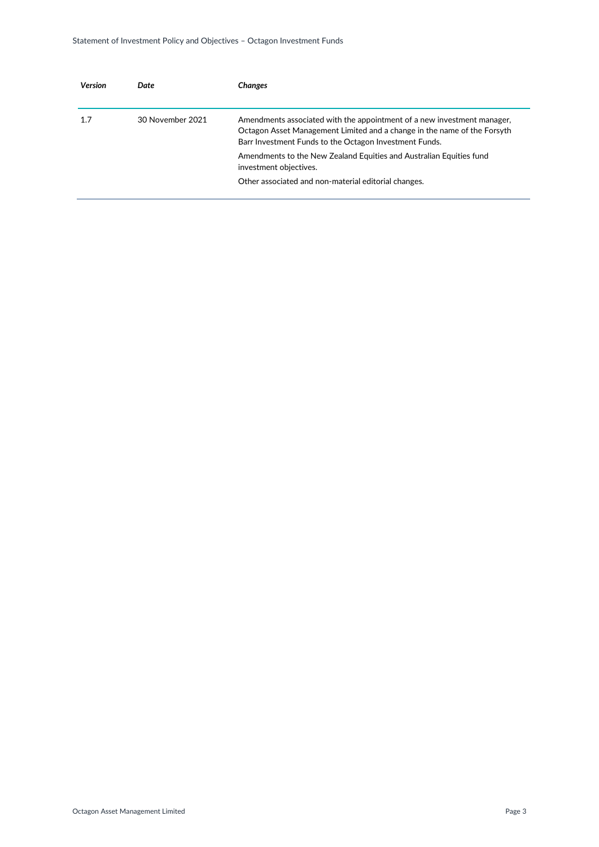| Version | Date             | Changes                                                                                                                                                                                                       |
|---------|------------------|---------------------------------------------------------------------------------------------------------------------------------------------------------------------------------------------------------------|
| 1.7     | 30 November 2021 | Amendments associated with the appointment of a new investment manager,<br>Octagon Asset Management Limited and a change in the name of the Forsyth<br>Barr Investment Funds to the Octagon Investment Funds. |
|         |                  | Amendments to the New Zealand Equities and Australian Equities fund<br>investment objectives.                                                                                                                 |
|         |                  | Other associated and non-material editorial changes.                                                                                                                                                          |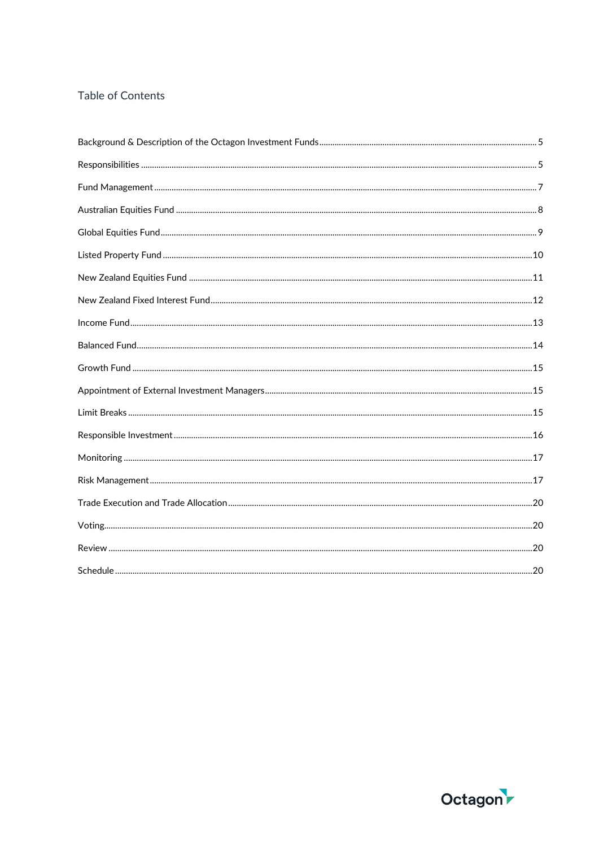# Table of Contents

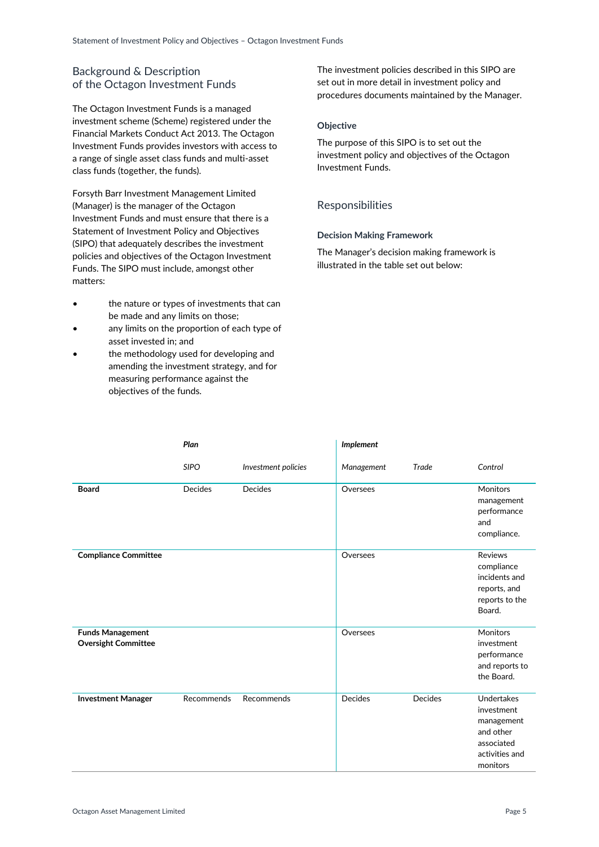# <span id="page-4-0"></span>Background & Description of the Octagon Investment Funds

The Octagon Investment Funds is a managed investment scheme (Scheme) registered under the Financial Markets Conduct Act 2013. The Octagon Investment Funds provides investors with access to a range of single asset class funds and multi-asset class funds (together, the funds).

Forsyth Barr Investment Management Limited (Manager) is the manager of the Octagon Investment Funds and must ensure that there is a Statement of Investment Policy and Objectives (SIPO) that adequately describes the investment policies and objectives of the Octagon Investment Funds. The SIPO must include, amongst other matters:

- the nature or types of investments that can be made and any limits on those;
- any limits on the proportion of each type of asset invested in; and
- the methodology used for developing and amending the investment strategy, and for measuring performance against the objectives of the funds.

The investment policies described in this SIPO are set out in more detail in investment policy and procedures documents maintained by the Manager.

# **Objective**

The purpose of this SIPO is to set out the investment policy and objectives of the Octagon Investment Funds.

# <span id="page-4-1"></span>Responsibilities

# **Decision Making Framework**

The Manager's decision making framework is illustrated in the table set out below:

|                                                       | Plan           |                     | Implement  |         |                                                                                                        |
|-------------------------------------------------------|----------------|---------------------|------------|---------|--------------------------------------------------------------------------------------------------------|
|                                                       | <b>SIPO</b>    | Investment policies | Management | Trade   | Control                                                                                                |
| <b>Board</b>                                          | <b>Decides</b> | <b>Decides</b>      | Oversees   |         | Monitors<br>management<br>performance<br>and<br>compliance.                                            |
| <b>Compliance Committee</b>                           |                |                     | Oversees   |         | <b>Reviews</b><br>compliance<br>incidents and<br>reports, and<br>reports to the<br>Board.              |
| <b>Funds Management</b><br><b>Oversight Committee</b> |                |                     | Oversees   |         | Monitors<br>investment<br>performance<br>and reports to<br>the Board.                                  |
| <b>Investment Manager</b>                             | Recommends     | Recommends          | Decides    | Decides | <b>Undertakes</b><br>investment<br>management<br>and other<br>associated<br>activities and<br>monitors |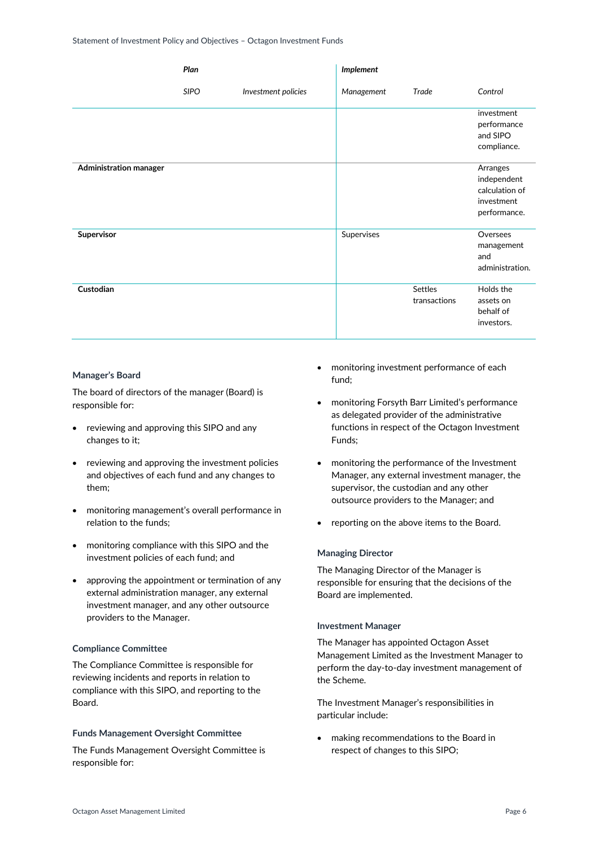|                        | Plan        |                     | Implement  |                                |                                                                         |
|------------------------|-------------|---------------------|------------|--------------------------------|-------------------------------------------------------------------------|
|                        | <b>SIPO</b> | Investment policies | Management | Trade                          | Control                                                                 |
|                        |             |                     |            |                                | investment<br>performance<br>and SIPO<br>compliance.                    |
| Administration manager |             |                     |            |                                | Arranges<br>independent<br>calculation of<br>investment<br>performance. |
| Supervisor             |             |                     | Supervises |                                | Oversees<br>management<br>and<br>administration.                        |
| Custodian              |             |                     |            | <b>Settles</b><br>transactions | Holds the<br>assets on<br>behalf of<br>investors.                       |

### **Manager's Board**

The board of directors of the manager (Board) is responsible for:

- reviewing and approving this SIPO and any changes to it;
- reviewing and approving the investment policies and objectives of each fund and any changes to them;
- monitoring management's overall performance in relation to the funds;
- monitoring compliance with this SIPO and the investment policies of each fund; and
- approving the appointment or termination of any external administration manager, any external investment manager, and any other outsource providers to the Manager.

### **Compliance Committee**

The Compliance Committee is responsible for reviewing incidents and reports in relation to compliance with this SIPO, and reporting to the Board.

### **Funds Management Oversight Committee**

The Funds Management Oversight Committee is responsible for:

- monitoring investment performance of each fund;
- monitoring Forsyth Barr Limited's performance as delegated provider of the administrative functions in respect of the Octagon Investment Funds;
- monitoring the performance of the Investment Manager, any external investment manager, the supervisor, the custodian and any other outsource providers to the Manager; and
- reporting on the above items to the Board.

### **Managing Director**

The Managing Director of the Manager is responsible for ensuring that the decisions of the Board are implemented.

#### **Investment Manager**

The Manager has appointed Octagon Asset Management Limited as the Investment Manager to perform the day-to-day investment management of the Scheme.

The Investment Manager's responsibilities in particular include:

 making recommendations to the Board in respect of changes to this SIPO;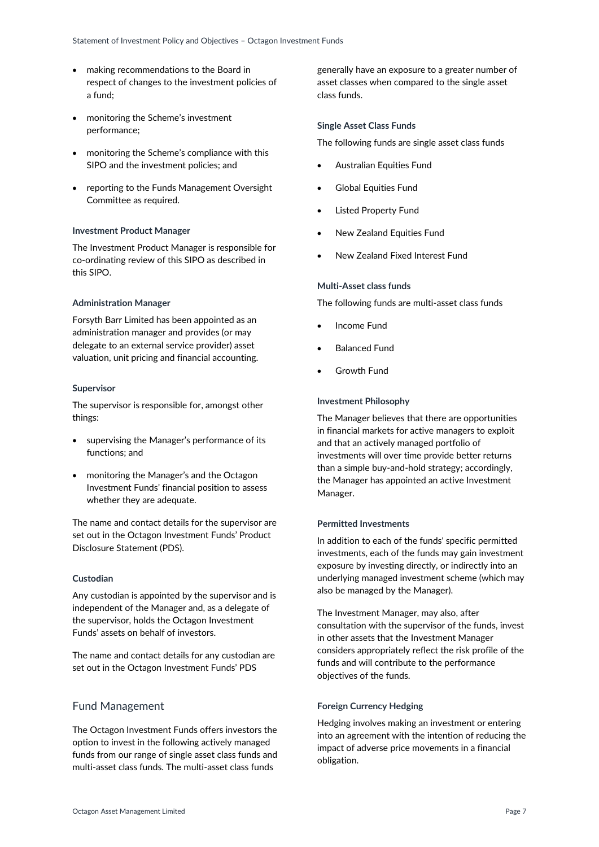- making recommendations to the Board in respect of changes to the investment policies of a fund;
- monitoring the Scheme's investment performance;
- monitoring the Scheme's compliance with this SIPO and the investment policies; and
- reporting to the Funds Management Oversight Committee as required.

### **Investment Product Manager**

The Investment Product Manager is responsible for co-ordinating review of this SIPO as described in this SIPO.

### **Administration Manager**

Forsyth Barr Limited has been appointed as an administration manager and provides (or may delegate to an external service provider) asset valuation, unit pricing and financial accounting.

### **Supervisor**

The supervisor is responsible for, amongst other things:

- supervising the Manager's performance of its functions; and
- monitoring the Manager's and the Octagon Investment Funds' financial position to assess whether they are adequate.

The name and contact details for the supervisor are set out in the Octagon Investment Funds' Product Disclosure Statement (PDS).

### **Custodian**

Any custodian is appointed by the supervisor and is independent of the Manager and, as a delegate of the supervisor, holds the Octagon Investment Funds' assets on behalf of investors.

The name and contact details for any custodian are set out in the Octagon Investment Funds' PDS

# <span id="page-6-0"></span>Fund Management

The Octagon Investment Funds offers investors the option to invest in the following actively managed funds from our range of single asset class funds and multi-asset class funds. The multi-asset class funds

generally have an exposure to a greater number of asset classes when compared to the single asset class funds.

### **Single Asset Class Funds**

The following funds are single asset class funds

- Australian Equities Fund
- Global Equities Fund
- Listed Property Fund
- New Zealand Equities Fund
- New Zealand Fixed Interest Fund

### **Multi-Asset class funds**

The following funds are multi-asset class funds

- Income Fund
- Balanced Fund
- Growth Fund

### **Investment Philosophy**

The Manager believes that there are opportunities in financial markets for active managers to exploit and that an actively managed portfolio of investments will over time provide better returns than a simple buy-and-hold strategy; accordingly, the Manager has appointed an active Investment Manager.

# **Permitted Investments**

In addition to each of the funds' specific permitted investments, each of the funds may gain investment exposure by investing directly, or indirectly into an underlying managed investment scheme (which may also be managed by the Manager).

The Investment Manager, may also, after consultation with the supervisor of the funds, invest in other assets that the Investment Manager considers appropriately reflect the risk profile of the funds and will contribute to the performance objectives of the funds.

### **Foreign Currency Hedging**

Hedging involves making an investment or entering into an agreement with the intention of reducing the impact of adverse price movements in a financial obligation.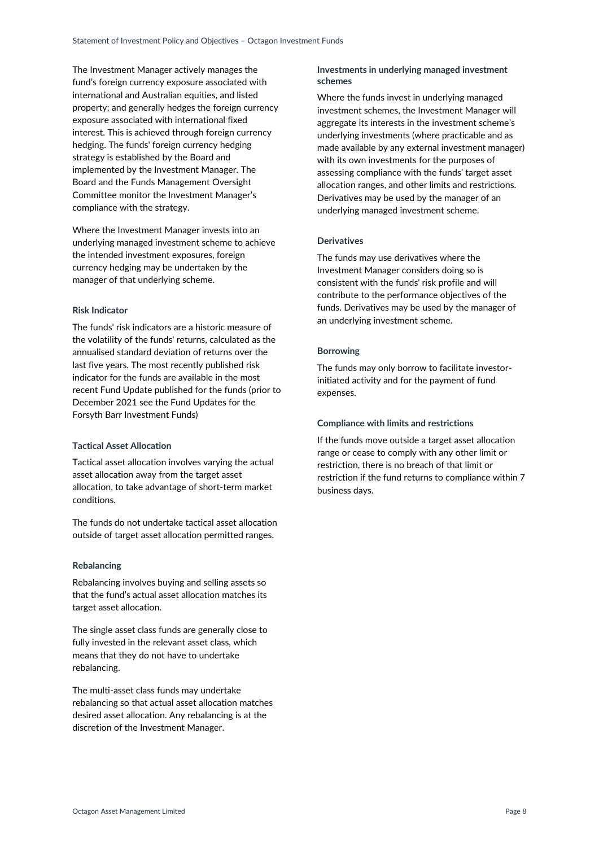The Investment Manager actively manages the fund's foreign currency exposure associated with international and Australian equities, and listed property; and generally hedges the foreign currency exposure associated with international fixed interest. This is achieved through foreign currency hedging. The funds' foreign currency hedging strategy is established by the Board and implemented by the Investment Manager. The Board and the Funds Management Oversight Committee monitor the Investment Manager's compliance with the strategy.

Where the Investment Manager invests into an underlying managed investment scheme to achieve the intended investment exposures, foreign currency hedging may be undertaken by the manager of that underlying scheme.

# **Risk Indicator**

The funds' risk indicators are a historic measure of the volatility of the funds' returns, calculated as the annualised standard deviation of returns over the last five years. The most recently published risk indicator for the funds are available in the most recent Fund Update published for the funds (prior to December 2021 see the Fund Updates for the Forsyth Barr Investment Funds)

### **Tactical Asset Allocation**

Tactical asset allocation involves varying the actual asset allocation away from the target asset allocation, to take advantage of short-term market conditions.

The funds do not undertake tactical asset allocation outside of target asset allocation permitted ranges.

### **Rebalancing**

Rebalancing involves buying and selling assets so that the fund's actual asset allocation matches its target asset allocation.

The single asset class funds are generally close to fully invested in the relevant asset class, which means that they do not have to undertake rebalancing.

The multi-asset class funds may undertake rebalancing so that actual asset allocation matches desired asset allocation. Any rebalancing is at the discretion of the Investment Manager.

# **Investments in underlying managed investment schemes**

Where the funds invest in underlying managed investment schemes, the Investment Manager will aggregate its interests in the investment scheme's underlying investments (where practicable and as made available by any external investment manager) with its own investments for the purposes of assessing compliance with the funds' target asset allocation ranges, and other limits and restrictions. Derivatives may be used by the manager of an underlying managed investment scheme.

# **Derivatives**

The funds may use derivatives where the Investment Manager considers doing so is consistent with the funds' risk profile and will contribute to the performance objectives of the funds. Derivatives may be used by the manager of an underlying investment scheme.

# **Borrowing**

The funds may only borrow to facilitate investorinitiated activity and for the payment of fund expenses.

# **Compliance with limits and restrictions**

<span id="page-7-0"></span>If the funds move outside a target asset allocation range or cease to comply with any other limit or restriction, there is no breach of that limit or restriction if the fund returns to compliance within 7 business days.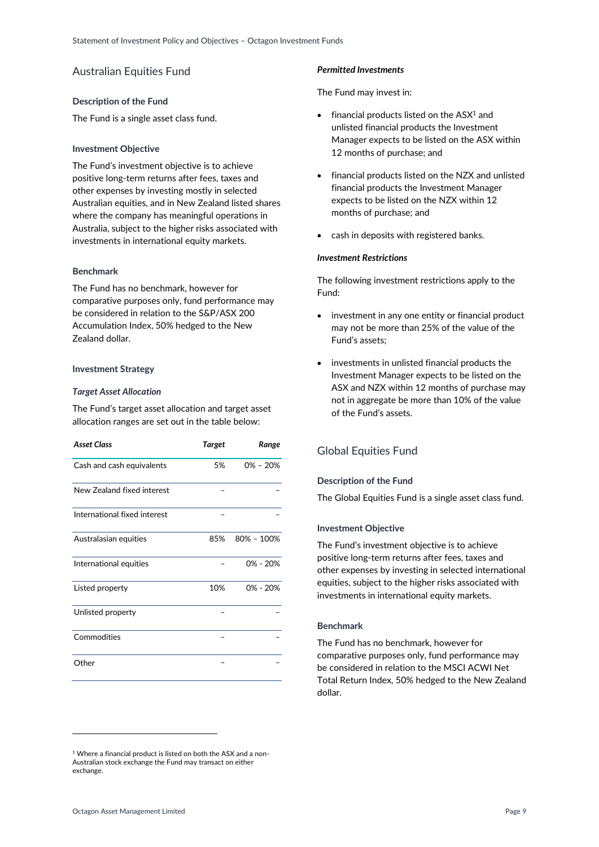# Australian Equities Fund

### **Description of the Fund**

The Fund is a single asset class fund.

# **Investment Objective**

The Fund's investment objective is to achieve positive long-term returns after fees, taxes and other expenses by investing mostly in selected Australian equities, and in New Zealand listed shares where the company has meaningful operations in Australia, subject to the higher risks associated with investments in international equity markets.

# **Benchmark**

The Fund has no benchmark, however for comparative purposes only, fund performance may be considered in relation to the S&P/ASX 200 Accumulation Index, 50% hedged to the New Zealand dollar.

# **Investment Strategy**

# *Target Asset Allocation*

The Fund's target asset allocation and target asset allocation ranges are set out in the table below:

| <b>Asset Class</b>           | <b>Target</b> | Range          |
|------------------------------|---------------|----------------|
| Cash and cash equivalents    | 5%            | $0\% - 20\%$   |
| New Zealand fixed interest   |               |                |
| International fixed interest |               |                |
| Australasian equities        | 85%           | $80\% - 100\%$ |
| International equities       |               | $0\% - 20\%$   |
| Listed property              | 10%           | $0\% - 20\%$   |
| Unlisted property            |               |                |
| Commodities                  |               |                |
| Other                        |               |                |

#### <sup>1</sup> Where a financial product is listed on both the ASX and a non-Australian stock exchange the Fund may transact on either exchange.

# *Permitted Investments*

The Fund may invest in:

- $\bullet$  financial products listed on the ASX<sup>1</sup> and unlisted financial products the Investment Manager expects to be listed on the ASX within 12 months of purchase; and
- financial products listed on the NZX and unlisted financial products the Investment Manager expects to be listed on the NZX within 12 months of purchase; and
- cash in deposits with registered banks.

### *Investment Restrictions*

The following investment restrictions apply to the Fund:

- investment in any one entity or financial product may not be more than 25% of the value of the Fund's assets;
- investments in unlisted financial products the Investment Manager expects to be listed on the ASX and NZX within 12 months of purchase may not in aggregate be more than 10% of the value of the Fund's assets.

# <span id="page-8-0"></span>Global Equities Fund

### **Description of the Fund**

The Global Equities Fund is a single asset class fund.

### **Investment Objective**

The Fund's investment objective is to achieve positive long-term returns after fees, taxes and other expenses by investing in selected international equities, subject to the higher risks associated with investments in international equity markets.

# **Benchmark**

The Fund has no benchmark, however for comparative purposes only, fund performance may be considered in relation to the MSCI ACWI Net Total Return Index, 50% hedged to the New Zealand dollar.

-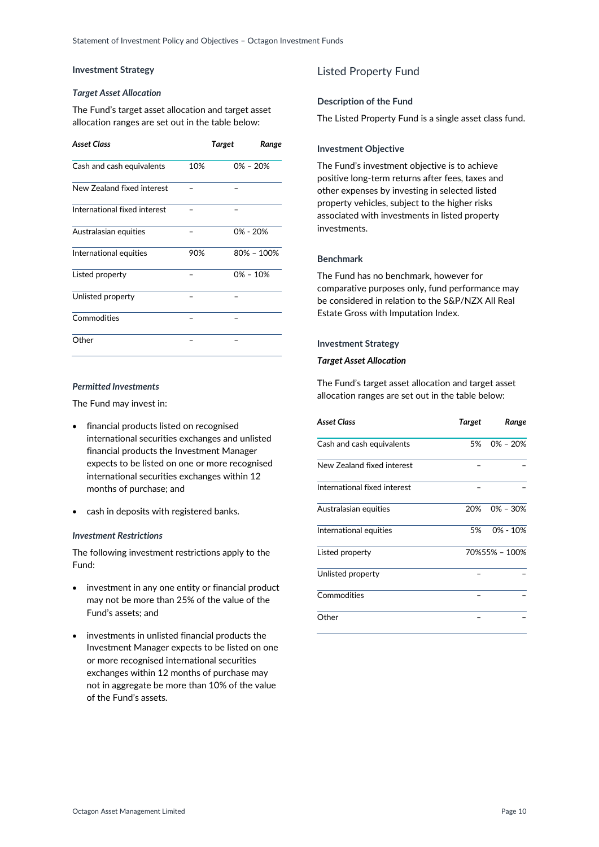# **Investment Strategy**

### *Target Asset Allocation*

The Fund's target asset allocation and target asset allocation ranges are set out in the table below:

| <b>Asset Class</b>           |     | <b>Target</b> | Range |
|------------------------------|-----|---------------|-------|
| Cash and cash equivalents    | 10% | $0\% - 20\%$  |       |
| New Zealand fixed interest   |     |               |       |
| International fixed interest |     |               |       |
| Australasian equities        |     | $0\% - 20\%$  |       |
| International equities       | 90% | 80% - 100%    |       |
| Listed property              |     | $0\% - 10\%$  |       |
| Unlisted property            |     |               |       |
| Commodities                  |     |               |       |
| Other                        |     |               |       |

# *Permitted Investments*

The Fund may invest in:

- financial products listed on recognised international securities exchanges and unlisted financial products the Investment Manager expects to be listed on one or more recognised international securities exchanges within 12 months of purchase; and
- cash in deposits with registered banks.

### *Investment Restrictions*

The following investment restrictions apply to the Fund:

- investment in any one entity or financial product may not be more than 25% of the value of the Fund's assets; and
- <span id="page-9-0"></span> investments in unlisted financial products the Investment Manager expects to be listed on one or more recognised international securities exchanges within 12 months of purchase may not in aggregate be more than 10% of the value of the Fund's assets.

# Listed Property Fund

# **Description of the Fund**

The Listed Property Fund is a single asset class fund.

### **Investment Objective**

The Fund's investment objective is to achieve positive long-term returns after fees, taxes and other expenses by investing in selected listed property vehicles, subject to the higher risks associated with investments in listed property investments.

### **Benchmark**

The Fund has no benchmark, however for comparative purposes only, fund performance may be considered in relation to the S&P/NZX All Real Estate Gross with Imputation Index.

### **Investment Strategy**

### *Target Asset Allocation*

The Fund's target asset allocation and target asset allocation ranges are set out in the table below:

| Asset Class                  | Target | Range         |
|------------------------------|--------|---------------|
| Cash and cash equivalents    | 5%     | $0\% - 20\%$  |
| New Zealand fixed interest   |        |               |
| International fixed interest |        |               |
| Australasian equities        | 20%    | $0\% - 30\%$  |
| International equities       | 5%     | $0\% - 10\%$  |
| Listed property              |        | 70%55% - 100% |
| Unlisted property            |        |               |
| Commodities                  |        |               |
| Other                        |        |               |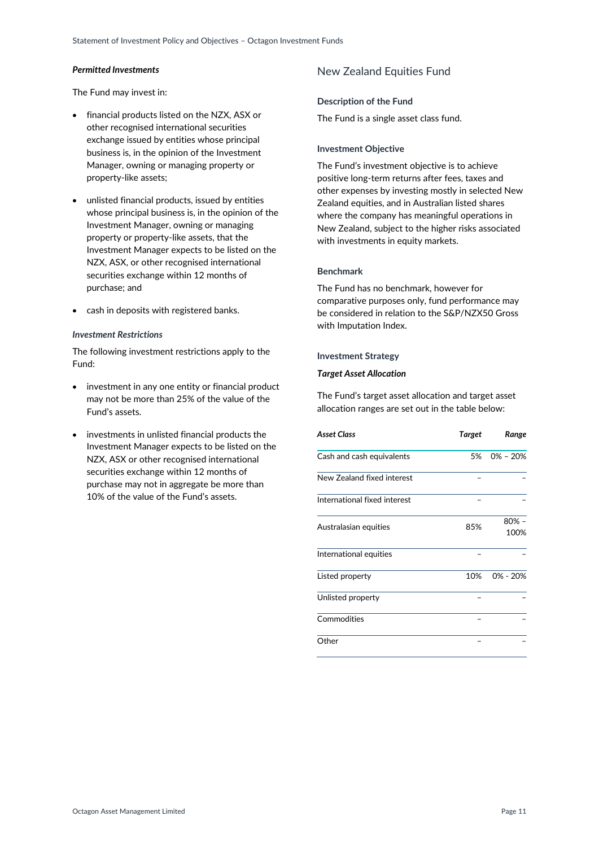### *Permitted Investments*

The Fund may invest in:

- financial products listed on the NZX, ASX or other recognised international securities exchange issued by entities whose principal business is, in the opinion of the Investment Manager, owning or managing property or property-like assets;
- unlisted financial products, issued by entities whose principal business is, in the opinion of the Investment Manager, owning or managing property or property-like assets, that the Investment Manager expects to be listed on the NZX, ASX, or other recognised international securities exchange within 12 months of purchase; and
- cash in deposits with registered banks.

### *Investment Restrictions*

The following investment restrictions apply to the Fund:

- investment in any one entity or financial product may not be more than 25% of the value of the Fund's assets.
- <span id="page-10-0"></span>• investments in unlisted financial products the Investment Manager expects to be listed on the NZX, ASX or other recognised international securities exchange within 12 months of purchase may not in aggregate be more than 10% of the value of the Fund's assets.

# New Zealand Equities Fund

### **Description of the Fund**

The Fund is a single asset class fund.

### **Investment Objective**

The Fund's investment objective is to achieve positive long-term returns after fees, taxes and other expenses by investing mostly in selected New Zealand equities, and in Australian listed shares where the company has meaningful operations in New Zealand, subject to the higher risks associated with investments in equity markets.

### **Benchmark**

The Fund has no benchmark, however for comparative purposes only, fund performance may be considered in relation to the S&P/NZX50 Gross with Imputation Index.

### **Investment Strategy**

#### *Target Asset Allocation*

The Fund's target asset allocation and target asset allocation ranges are set out in the table below:

| <b>Asset Class</b>           | Target | Range           |
|------------------------------|--------|-----------------|
| Cash and cash equivalents    |        | 5% 0% - 20%     |
| New Zealand fixed interest   |        |                 |
| International fixed interest |        |                 |
| Australasian equities        | 85%    | $80% -$<br>100% |
| International equities       |        |                 |
| Listed property              | 10%    | $0\% - 20\%$    |
| Unlisted property            |        |                 |
| Commodities                  |        |                 |
| Other                        |        |                 |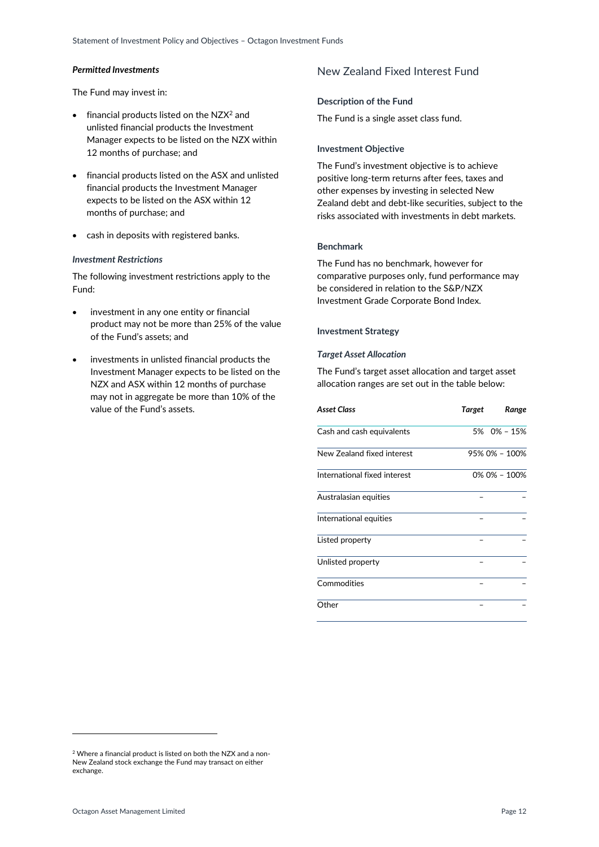### *Permitted Investments*

The Fund may invest in:

- $\bullet$  financial products listed on the NZX<sup>2</sup> and unlisted financial products the Investment Manager expects to be listed on the NZX within 12 months of purchase; and
- financial products listed on the ASX and unlisted financial products the Investment Manager expects to be listed on the ASX within 12 months of purchase; and
- cash in deposits with registered banks.

### *Investment Restrictions*

The following investment restrictions apply to the Fund:

- investment in any one entity or financial product may not be more than 25% of the value of the Fund's assets; and
- <span id="page-11-0"></span> investments in unlisted financial products the Investment Manager expects to be listed on the NZX and ASX within 12 months of purchase may not in aggregate be more than 10% of the value of the Fund's assets.

# New Zealand Fixed Interest Fund

#### **Description of the Fund**

The Fund is a single asset class fund.

#### **Investment Objective**

The Fund's investment objective is to achieve positive long-term returns after fees, taxes and other expenses by investing in selected New Zealand debt and debt-like securities, subject to the risks associated with investments in debt markets.

### **Benchmark**

The Fund has no benchmark, however for comparative purposes only, fund performance may be considered in relation to the S&P/NZX Investment Grade Corporate Bond Index.

#### **Investment Strategy**

#### *Target Asset Allocation*

The Fund's target asset allocation and target asset allocation ranges are set out in the table below:

| Asset Class                  | Target | Range         |
|------------------------------|--------|---------------|
| Cash and cash equivalents    |        | 5% 0% - 15%   |
| New Zealand fixed interest   |        | 95% 0% - 100% |
| International fixed interest |        | 0% 0% - 100%  |
| Australasian equities        |        |               |
| International equities       |        |               |
| Listed property              |        |               |
| Unlisted property            |        |               |
| Commodities                  |        |               |
| Other                        |        |               |

-

<sup>2</sup> Where a financial product is listed on both the NZX and a non-New Zealand stock exchange the Fund may transact on either exchange.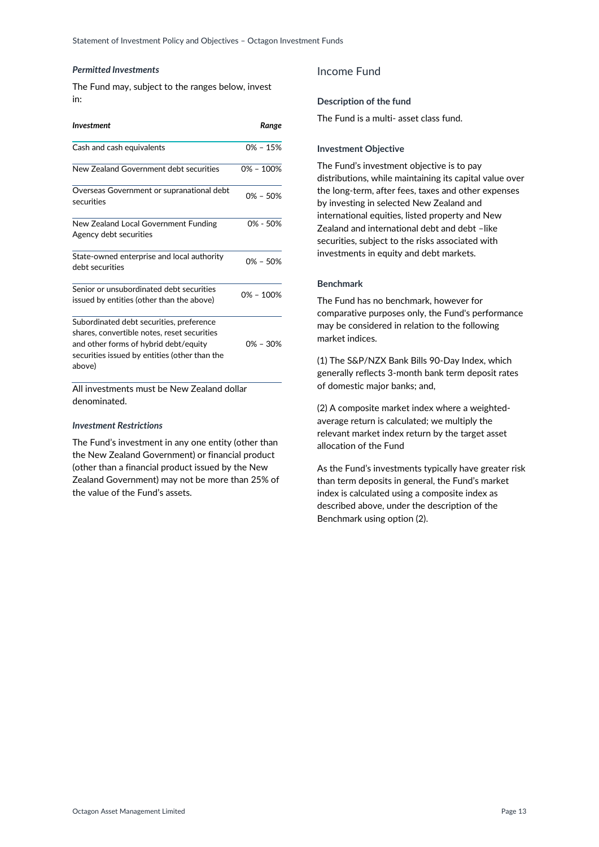#### *Permitted Investments*

The Fund may, subject to the ranges below, invest in:

| <b>Investment</b>                                                                                                                                                                           | Range         |
|---------------------------------------------------------------------------------------------------------------------------------------------------------------------------------------------|---------------|
| Cash and cash equivalents                                                                                                                                                                   | $0\% - 15\%$  |
| New Zealand Government debt securities                                                                                                                                                      | $0\% - 100\%$ |
| Overseas Government or supranational debt<br>securities                                                                                                                                     | $0\% - 50\%$  |
| New Zealand Local Government Funding<br>Agency debt securities                                                                                                                              | 0% - 50%      |
| State-owned enterprise and local authority<br>debt securities                                                                                                                               | $0\% - 50\%$  |
| Senior or unsubordinated debt securities<br>issued by entities (other than the above)                                                                                                       | $0\% - 100\%$ |
| Subordinated debt securities, preference<br>shares, convertible notes, reset securities<br>and other forms of hybrid debt/equity<br>securities issued by entities (other than the<br>above) | $0\% - 30\%$  |

All investments must be New Zealand dollar denominated.

### *Investment Restrictions*

<span id="page-12-0"></span>The Fund's investment in any one entity (other than the New Zealand Government) or financial product (other than a financial product issued by the New Zealand Government) may not be more than 25% of the value of the Fund's assets.

# Income Fund

#### **Description of the fund**

The Fund is a multi- asset class fund.

### **Investment Objective**

The Fund's investment objective is to pay distributions, while maintaining its capital value over the long-term, after fees, taxes and other expenses by investing in selected New Zealand and international equities, listed property and New Zealand and international debt and debt -like securities, subject to the risks associated with investments in equity and debt markets.

### **Benchmark**

The Fund has no benchmark, however for comparative purposes only, the Fund's performance may be considered in relation to the following market indices.

(1) The S&P/NZX Bank Bills 90-Day Index, which generally reflects 3-month bank term deposit rates of domestic major banks; and,

(2) A composite market index where a weightedaverage return is calculated; we multiply the relevant market index return by the target asset allocation of the Fund

As the Fund's investments typically have greater risk than term deposits in general, the Fund's market index is calculated using a composite index as described above, under the description of the Benchmark using option (2).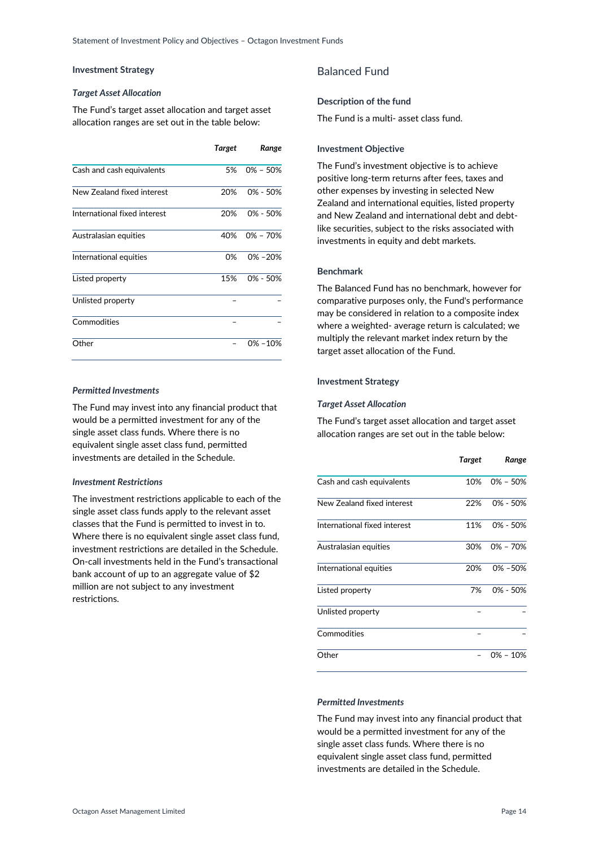# **Investment Strategy**

### *Target Asset Allocation*

The Fund's target asset allocation and target asset allocation ranges are set out in the table below:

|                              | Target | Range        |
|------------------------------|--------|--------------|
| Cash and cash equivalents    | .5%    | $0\% - 50\%$ |
| New Zealand fixed interest   | 20%    | $0\% - 50\%$ |
| International fixed interest | 20%    | $0\% - 50\%$ |
| Australasian equities        | 40%    | 0% – 70%     |
| International equities       | 0%     | $0\% - 20\%$ |
| Listed property              | 15%    | $0\% - 50\%$ |
| Unlisted property            |        |              |
| Commodities                  |        |              |
| Other                        |        | $0\% - 10\%$ |

# *Permitted Investments*

The Fund may invest into any financial product that would be a permitted investment for any of the single asset class funds. Where there is no equivalent single asset class fund, permitted investments are detailed in the Schedule.

### *Investment Restrictions*

<span id="page-13-0"></span>The investment restrictions applicable to each of the single asset class funds apply to the relevant asset classes that the Fund is permitted to invest in to. Where there is no equivalent single asset class fund, investment restrictions are detailed in the Schedule. On-call investments held in the Fund's transactional bank account of up to an aggregate value of \$2 million are not subject to any investment restrictions.

# Balanced Fund

# **Description of the fund**

The Fund is a multi- asset class fund.

# **Investment Objective**

The Fund's investment objective is to achieve positive long-term returns after fees, taxes and other expenses by investing in selected New Zealand and international equities, listed property and New Zealand and international debt and debtlike securities, subject to the risks associated with investments in equity and debt markets.

# **Benchmark**

The Balanced Fund has no benchmark, however for comparative purposes only, the Fund's performance may be considered in relation to a composite index where a weighted- average return is calculated; we multiply the relevant market index return by the target asset allocation of the Fund.

# **Investment Strategy**

# *Target Asset Allocation*

The Fund's target asset allocation and target asset allocation ranges are set out in the table below:

|                              | Target | Range        |
|------------------------------|--------|--------------|
| Cash and cash equivalents    | 10%    | $0\% - 50\%$ |
| New Zealand fixed interest   | 22%    | 0% - 50%     |
| International fixed interest | 11%    | $0\% - 50\%$ |
| Australasian equities        | 30%    | $0\% - 70\%$ |
| International equities       | 20%    | 0% - 50%     |
| Listed property              | 7%     | $0\% - 50\%$ |
| Unlisted property            |        |              |
| Commodities                  |        |              |
| Other                        |        | $0\% - 10\%$ |

# *Permitted Investments*

The Fund may invest into any financial product that would be a permitted investment for any of the single asset class funds. Where there is no equivalent single asset class fund, permitted investments are detailed in the Schedule.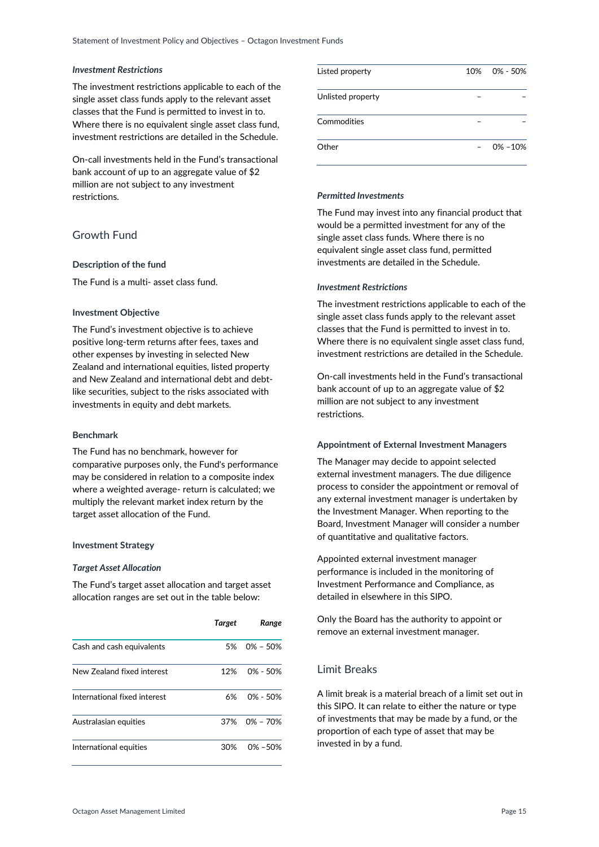### *Investment Restrictions*

The investment restrictions applicable to each of the single asset class funds apply to the relevant asset classes that the Fund is permitted to invest in to. Where there is no equivalent single asset class fund, investment restrictions are detailed in the Schedule.

On-call investments held in the Fund's transactional bank account of up to an aggregate value of \$2 million are not subject to any investment restrictions.

# <span id="page-14-0"></span>Growth Fund

### **Description of the fund**

The Fund is a multi- asset class fund.

### **Investment Objective**

The Fund's investment objective is to achieve positive long-term returns after fees, taxes and other expenses by investing in selected New Zealand and international equities, listed property and New Zealand and international debt and debtlike securities, subject to the risks associated with investments in equity and debt markets.

### **Benchmark**

The Fund has no benchmark, however for comparative purposes only, the Fund's performance may be considered in relation to a composite index where a weighted average- return is calculated; we multiply the relevant market index return by the target asset allocation of the Fund.

#### **Investment Strategy**

#### *Target Asset Allocation*

The Fund's target asset allocation and target asset allocation ranges are set out in the table below:

|                              | Target | Range        |
|------------------------------|--------|--------------|
| Cash and cash equivalents    | 5%     | 0% - 50%     |
| New Zealand fixed interest   | 12%    | $0\% - 50\%$ |
| International fixed interest | 6%     | $0\% - 50\%$ |
| Australasian equities        | 37%    | 0% – 70%     |
| International equities       | 30%    | $0\% - 50\%$ |

| Listed property   | 10% 0% - 50% |
|-------------------|--------------|
| Unlisted property |              |
| Commodities       |              |
| Other             | $0\% - 10\%$ |

# *Permitted Investments*

The Fund may invest into any financial product that would be a permitted investment for any of the single asset class funds. Where there is no equivalent single asset class fund, permitted investments are detailed in the Schedule.

#### *Investment Restrictions*

The investment restrictions applicable to each of the single asset class funds apply to the relevant asset classes that the Fund is permitted to invest in to. Where there is no equivalent single asset class fund, investment restrictions are detailed in the Schedule.

On-call investments held in the Fund's transactional bank account of up to an aggregate value of \$2 million are not subject to any investment restrictions.

### <span id="page-14-1"></span>**Appointment of External Investment Managers**

The Manager may decide to appoint selected external investment managers. The due diligence process to consider the appointment or removal of any external investment manager is undertaken by the Investment Manager. When reporting to the Board, Investment Manager will consider a number of quantitative and qualitative factors.

Appointed external investment manager performance is included in the monitoring of Investment Performance and Compliance, as detailed in elsewhere in this SIPO.

Only the Board has the authority to appoint or remove an external investment manager.

# <span id="page-14-2"></span>Limit Breaks

A limit break is a material breach of a limit set out in this SIPO. It can relate to either the nature or type of investments that may be made by a fund, or the proportion of each type of asset that may be invested in by a fund.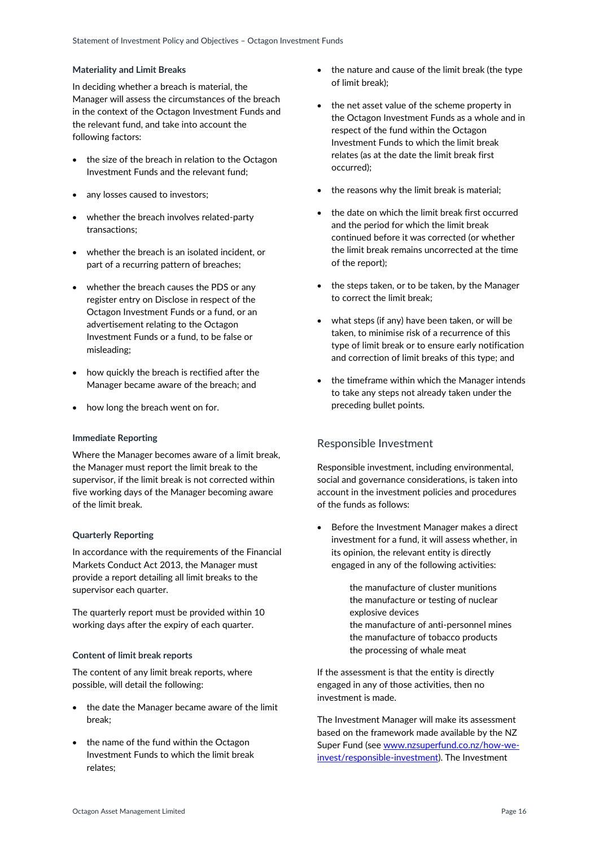### **Materiality and Limit Breaks**

In deciding whether a breach is material, the Manager will assess the circumstances of the breach in the context of the Octagon Investment Funds and the relevant fund, and take into account the following factors:

- the size of the breach in relation to the Octagon Investment Funds and the relevant fund;
- any losses caused to investors:
- whether the breach involves related-party transactions;
- whether the breach is an isolated incident, or part of a recurring pattern of breaches;
- whether the breach causes the PDS or any register entry on Disclose in respect of the Octagon Investment Funds or a fund, or an advertisement relating to the Octagon Investment Funds or a fund, to be false or misleading;
- how quickly the breach is rectified after the Manager became aware of the breach; and
- how long the breach went on for.

### **Immediate Reporting**

Where the Manager becomes aware of a limit break, the Manager must report the limit break to the supervisor, if the limit break is not corrected within five working days of the Manager becoming aware of the limit break.

### **Quarterly Reporting**

In accordance with the requirements of the Financial Markets Conduct Act 2013, the Manager must provide a report detailing all limit breaks to the supervisor each quarter.

The quarterly report must be provided within 10 working days after the expiry of each quarter.

#### **Content of limit break reports**

The content of any limit break reports, where possible, will detail the following:

- the date the Manager became aware of the limit break;
- the name of the fund within the Octagon Investment Funds to which the limit break relates;
- the nature and cause of the limit break (the type of limit break);
- the net asset value of the scheme property in the Octagon Investment Funds as a whole and in respect of the fund within the Octagon Investment Funds to which the limit break relates (as at the date the limit break first occurred);
- the reasons why the limit break is material;
- the date on which the limit break first occurred and the period for which the limit break continued before it was corrected (or whether the limit break remains uncorrected at the time of the report);
- the steps taken, or to be taken, by the Manager to correct the limit break;
- what steps (if any) have been taken, or will be taken, to minimise risk of a recurrence of this type of limit break or to ensure early notification and correction of limit breaks of this type; and
- the timeframe within which the Manager intends to take any steps not already taken under the preceding bullet points.

# <span id="page-15-0"></span>Responsible Investment

Responsible investment, including environmental, social and governance considerations, is taken into account in the investment policies and procedures of the funds as follows:

 Before the Investment Manager makes a direct investment for a fund, it will assess whether, in its opinion, the relevant entity is directly engaged in any of the following activities:

> the manufacture of cluster munitions the manufacture or testing of nuclear explosive devices

 the manufacture of anti-personnel mines the manufacture of tobacco products the processing of whale meat

If the assessment is that the entity is directly engaged in any of those activities, then no investment is made.

The Investment Manager will make its assessment based on the framework made available by the NZ Super Fund (see [www.nzsuperfund.co.nz/how-we](http://www.nzsuperfund.co.nz/how-we-invest/responsible-investment)[invest/responsible-investment\)](http://www.nzsuperfund.co.nz/how-we-invest/responsible-investment). The Investment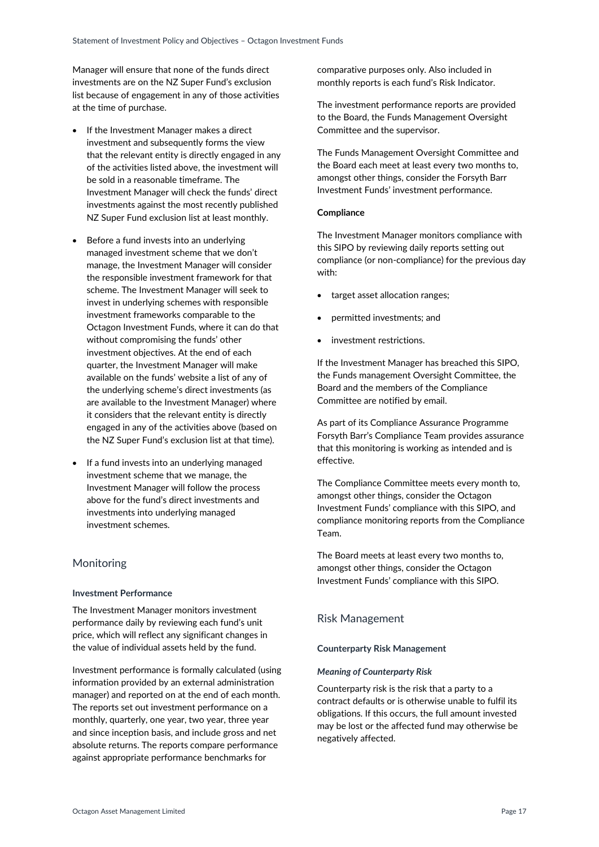Manager will ensure that none of the funds direct investments are on the NZ Super Fund's exclusion list because of engagement in any of those activities at the time of purchase.

- If the Investment Manager makes a direct investment and subsequently forms the view that the relevant entity is directly engaged in any of the activities listed above, the investment will be sold in a reasonable timeframe. The Investment Manager will check the funds' direct investments against the most recently published NZ Super Fund exclusion list at least monthly.
- Before a fund invests into an underlying managed investment scheme that we don't manage, the Investment Manager will consider the responsible investment framework for that scheme. The Investment Manager will seek to invest in underlying schemes with responsible investment frameworks comparable to the Octagon Investment Funds, where it can do that without compromising the funds' other investment objectives. At the end of each quarter, the Investment Manager will make available on the funds' website a list of any of the underlying scheme's direct investments (as are available to the Investment Manager) where it considers that the relevant entity is directly engaged in any of the activities above (based on the NZ Super Fund's exclusion list at that time).
- If a fund invests into an underlying managed investment scheme that we manage, the Investment Manager will follow the process above for the fund's direct investments and investments into underlying managed investment schemes.

# <span id="page-16-0"></span>Monitoring

### **Investment Performance**

The Investment Manager monitors investment performance daily by reviewing each fund's unit price, which will reflect any significant changes in the value of individual assets held by the fund.

Investment performance is formally calculated (using information provided by an external administration manager) and reported on at the end of each month. The reports set out investment performance on a monthly, quarterly, one year, two year, three year and since inception basis, and include gross and net absolute returns. The reports compare performance against appropriate performance benchmarks for

comparative purposes only. Also included in monthly reports is each fund's Risk Indicator.

The investment performance reports are provided to the Board, the Funds Management Oversight Committee and the supervisor.

The Funds Management Oversight Committee and the Board each meet at least every two months to, amongst other things, consider the Forsyth Barr Investment Funds' investment performance.

# **Compliance**

The Investment Manager monitors compliance with this SIPO by reviewing daily reports setting out compliance (or non-compliance) for the previous day with:

- target asset allocation ranges;
- permitted investments; and
- investment restrictions.

If the Investment Manager has breached this SIPO, the Funds management Oversight Committee, the Board and the members of the Compliance Committee are notified by email.

As part of its Compliance Assurance Programme Forsyth Barr's Compliance Team provides assurance that this monitoring is working as intended and is effective.

The Compliance Committee meets every month to, amongst other things, consider the Octagon Investment Funds' compliance with this SIPO, and compliance monitoring reports from the Compliance Team.

The Board meets at least every two months to, amongst other things, consider the Octagon Investment Funds' compliance with this SIPO.

# <span id="page-16-1"></span>Risk Management

### **Counterparty Risk Management**

### *Meaning of Counterparty Risk*

Counterparty risk is the risk that a party to a contract defaults or is otherwise unable to fulfil its obligations. If this occurs, the full amount invested may be lost or the affected fund may otherwise be negatively affected.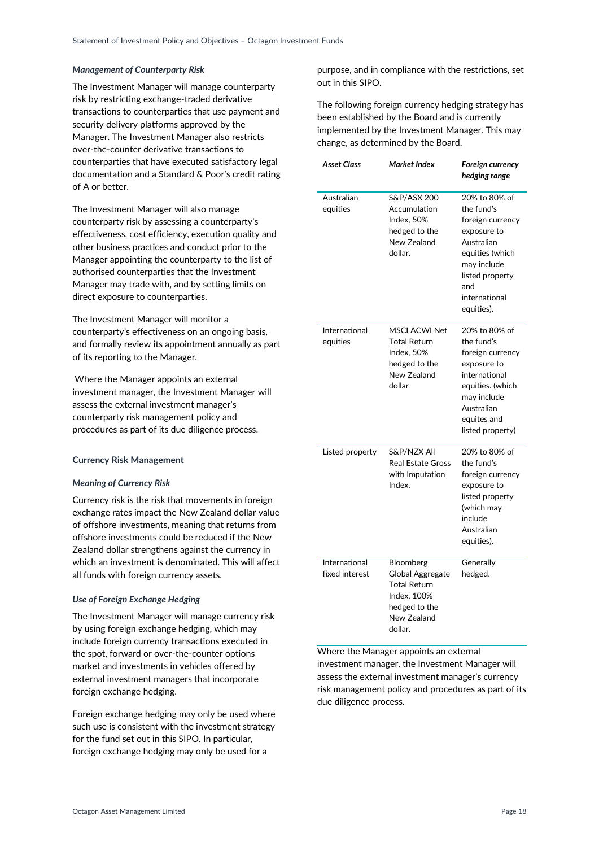### *Management of Counterparty Risk*

The Investment Manager will manage counterparty risk by restricting exchange-traded derivative transactions to counterparties that use payment and security delivery platforms approved by the Manager. The Investment Manager also restricts over-the-counter derivative transactions to counterparties that have executed satisfactory legal documentation and a Standard & Poor's credit rating of A or better.

The Investment Manager will also manage counterparty risk by assessing a counterparty's effectiveness, cost efficiency, execution quality and other business practices and conduct prior to the Manager appointing the counterparty to the list of authorised counterparties that the Investment Manager may trade with, and by setting limits on direct exposure to counterparties.

The Investment Manager will monitor a counterparty's effectiveness on an ongoing basis, and formally review its appointment annually as part of its reporting to the Manager.

Where the Manager appoints an external investment manager, the Investment Manager will assess the external investment manager's counterparty risk management policy and procedures as part of its due diligence process.

### **Currency Risk Management**

#### *Meaning of Currency Risk*

Currency risk is the risk that movements in foreign exchange rates impact the New Zealand dollar value of offshore investments, meaning that returns from offshore investments could be reduced if the New Zealand dollar strengthens against the currency in which an investment is denominated. This will affect all funds with foreign currency assets.

### *Use of Foreign Exchange Hedging*

The Investment Manager will manage currency risk by using foreign exchange hedging, which may include foreign currency transactions executed in the spot, forward or over-the-counter options market and investments in vehicles offered by external investment managers that incorporate foreign exchange hedging.

Foreign exchange hedging may only be used where such use is consistent with the investment strategy for the fund set out in this SIPO. In particular, foreign exchange hedging may only be used for a

purpose, and in compliance with the restrictions, set out in this SIPO.

The following foreign currency hedging strategy has been established by the Board and is currently implemented by the Investment Manager. This may change, as determined by the Board.

| <b>Asset Class</b>              | Market Index                                                                                                   | Foreign currency<br>hedging range                                                                                                                                       |
|---------------------------------|----------------------------------------------------------------------------------------------------------------|-------------------------------------------------------------------------------------------------------------------------------------------------------------------------|
| Australian<br>equities          | S&P/ASX 200<br>Accumulation<br>Index, 50%<br>hedged to the<br>New Zealand<br>dollar.                           | 20% to 80% of<br>the fund's<br>foreign currency<br>exposure to<br>Australian<br>equities (which<br>may include<br>listed property<br>and<br>international<br>equities). |
| International<br>equities       | <b>MSCI ACWI Net</b><br><b>Total Return</b><br>Index, 50%<br>hedged to the<br>New Zealand<br>dollar            | 20% to 80% of<br>the fund's<br>foreign currency<br>exposure to<br>international<br>equities. (which<br>may include<br>Australian<br>equites and<br>listed property)     |
| Listed property                 | S&P/NZX All<br><b>Real Estate Gross</b><br>with Imputation<br>Index.                                           | 20% to 80% of<br>the fund's<br>foreign currency<br>exposure to<br>listed property<br>(which may<br>include<br>Australian<br>equities).                                  |
| International<br>fixed interest | Bloomberg<br>Global Aggregate<br><b>Total Return</b><br>Index, 100%<br>hedged to the<br>New Zealand<br>dollar. | Generally<br>hedged.                                                                                                                                                    |

Where the Manager appoints an external investment manager, the Investment Manager will assess the external investment manager's currency risk management policy and procedures as part of its due diligence process.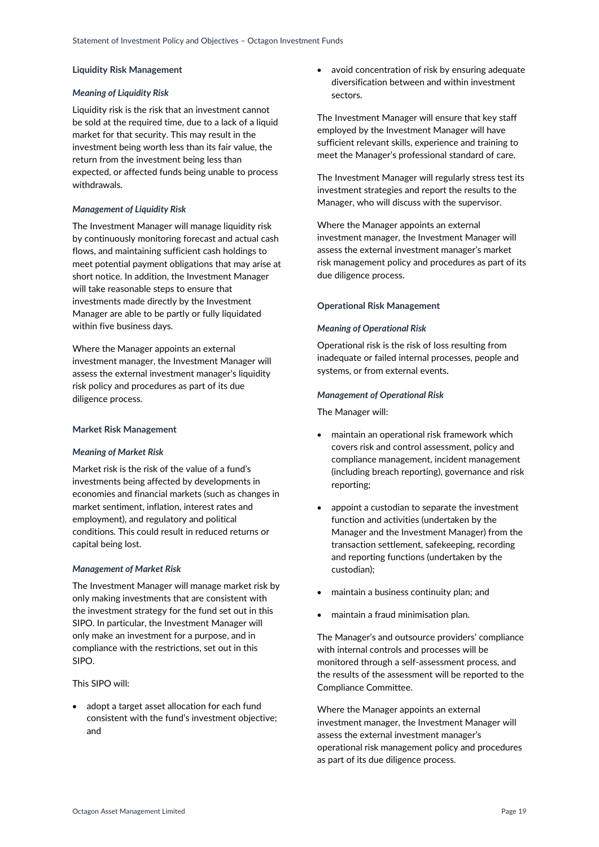### **Liquidity Risk Management**

### *Meaning of Liquidity Risk*

Liquidity risk is the risk that an investment cannot be sold at the required time, due to a lack of a liquid market for that security. This may result in the investment being worth less than its fair value, the return from the investment being less than expected, or affected funds being unable to process withdrawals.

# *Management of Liquidity Risk*

The Investment Manager will manage liquidity risk by continuously monitoring forecast and actual cash flows, and maintaining sufficient cash holdings to meet potential payment obligations that may arise at short notice. In addition, the Investment Manager will take reasonable steps to ensure that investments made directly by the Investment Manager are able to be partly or fully liquidated within five business days.

Where the Manager appoints an external investment manager, the Investment Manager will assess the external investment manager's liquidity risk policy and procedures as part of its due diligence process.

### **Market Risk Management**

### *Meaning of Market Risk*

Market risk is the risk of the value of a fund's investments being affected by developments in economies and financial markets (such as changes in market sentiment, inflation, interest rates and employment), and regulatory and political conditions. This could result in reduced returns or capital being lost.

### *Management of Market Risk*

The Investment Manager will manage market risk by only making investments that are consistent with the investment strategy for the fund set out in this SIPO. In particular, the Investment Manager will only make an investment for a purpose, and in compliance with the restrictions, set out in this SIPO.

This SIPO will:

• adopt a target asset allocation for each fund consistent with the fund's investment objective; and

 avoid concentration of risk by ensuring adequate diversification between and within investment sectors.

The Investment Manager will ensure that key staff employed by the Investment Manager will have sufficient relevant skills, experience and training to meet the Manager's professional standard of care.

The Investment Manager will regularly stress test its investment strategies and report the results to the Manager, who will discuss with the supervisor.

Where the Manager appoints an external investment manager, the Investment Manager will assess the external investment manager's market risk management policy and procedures as part of its due diligence process.

# **Operational Risk Management**

### *Meaning of Operational Risk*

Operational risk is the risk of loss resulting from inadequate or failed internal processes, people and systems, or from external events.

### *Management of Operational Risk*

The Manager will:

- maintain an operational risk framework which covers risk and control assessment, policy and compliance management, incident management (including breach reporting), governance and risk reporting;
- appoint a custodian to separate the investment function and activities (undertaken by the Manager and the Investment Manager) from the transaction settlement, safekeeping, recording and reporting functions (undertaken by the custodian);
- maintain a business continuity plan; and
- maintain a fraud minimisation plan.

The Manager's and outsource providers' compliance with internal controls and processes will be monitored through a self-assessment process, and the results of the assessment will be reported to the Compliance Committee.

Where the Manager appoints an external investment manager, the Investment Manager will assess the external investment manager's operational risk management policy and procedures as part of its due diligence process.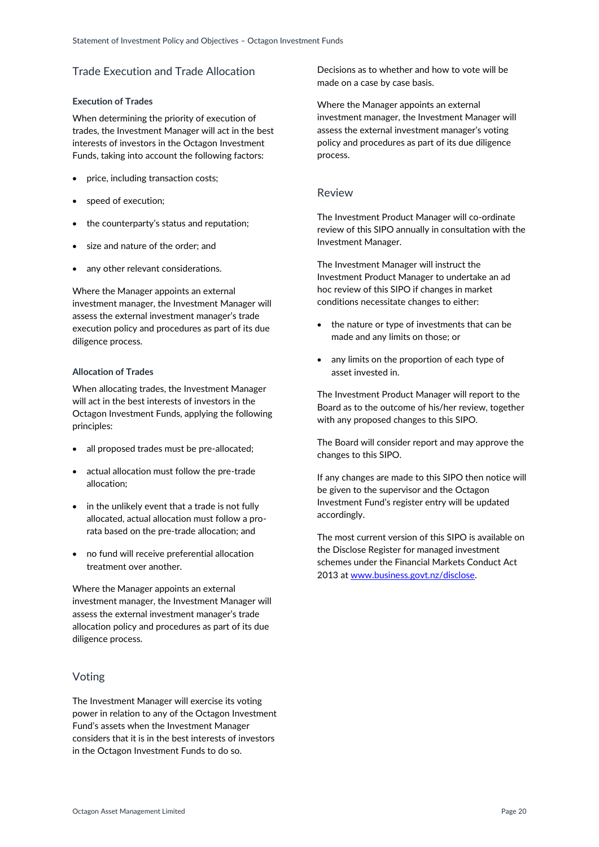# <span id="page-19-0"></span>Trade Execution and Trade Allocation

### **Execution of Trades**

When determining the priority of execution of trades, the Investment Manager will act in the best interests of investors in the Octagon Investment Funds, taking into account the following factors:

- price, including transaction costs;
- speed of execution;
- the counterparty's status and reputation;
- size and nature of the order; and
- any other relevant considerations.

Where the Manager appoints an external investment manager, the Investment Manager will assess the external investment manager's trade execution policy and procedures as part of its due diligence process.

### **Allocation of Trades**

When allocating trades, the Investment Manager will act in the best interests of investors in the Octagon Investment Funds, applying the following principles:

- all proposed trades must be pre-allocated:
- actual allocation must follow the pre-trade allocation;
- in the unlikely event that a trade is not fully allocated, actual allocation must follow a prorata based on the pre-trade allocation; and
- no fund will receive preferential allocation treatment over another.

Where the Manager appoints an external investment manager, the Investment Manager will assess the external investment manager's trade allocation policy and procedures as part of its due diligence process.

# <span id="page-19-1"></span>Voting

The Investment Manager will exercise its voting power in relation to any of the Octagon Investment Fund's assets when the Investment Manager considers that it is in the best interests of investors in the Octagon Investment Funds to do so.

Decisions as to whether and how to vote will be made on a case by case basis.

Where the Manager appoints an external investment manager, the Investment Manager will assess the external investment manager's voting policy and procedures as part of its due diligence process.

# <span id="page-19-2"></span>Review

The Investment Product Manager will co-ordinate review of this SIPO annually in consultation with the Investment Manager.

The Investment Manager will instruct the Investment Product Manager to undertake an ad hoc review of this SIPO if changes in market conditions necessitate changes to either:

- the nature or type of investments that can be made and any limits on those; or
- any limits on the proportion of each type of asset invested in.

The Investment Product Manager will report to the Board as to the outcome of his/her review, together with any proposed changes to this SIPO.

The Board will consider report and may approve the changes to this SIPO.

If any changes are made to this SIPO then notice will be given to the supervisor and the Octagon Investment Fund's register entry will be updated accordingly.

<span id="page-19-3"></span>The most current version of this SIPO is available on the Disclose Register for managed investment schemes under the Financial Markets Conduct Act 2013 a[t www.business.govt.nz/disclose.](http://www.business.govt.nz/disclose)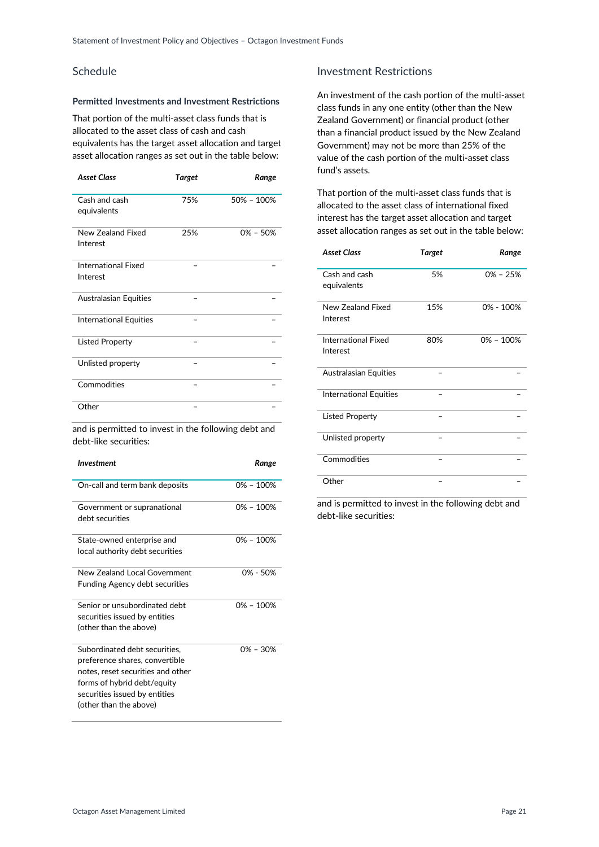# Schedule

# **Permitted Investments and Investment Restrictions**

That portion of the multi-asset class funds that is allocated to the asset class of cash and cash equivalents has the target asset allocation and target asset allocation ranges as set out in the table below:

| <b>Asset Class</b>                     | <b>Target</b> | Range          |
|----------------------------------------|---------------|----------------|
| Cash and cash<br>equivalents           | 75%           | $50\% - 100\%$ |
| New Zealand Fixed<br>Interest          | 25%           | $0\% - 50\%$   |
| <b>International Fixed</b><br>Interest |               |                |
| <b>Australasian Equities</b>           |               |                |
| <b>International Equities</b>          |               |                |
| <b>Listed Property</b>                 |               |                |
| Unlisted property                      |               |                |
| Commodities                            |               |                |
| Other                                  |               |                |

and is permitted to invest in the following debt and debt-like securities:

| Investment                            | Range         |
|---------------------------------------|---------------|
| On-call and term bank deposits        | $0\% - 100\%$ |
| Government or supranational           | $0\% - 100\%$ |
| debt securities                       |               |
| State-owned enterprise and            | $0\% - 100\%$ |
| local authority debt securities       |               |
| New Zealand Local Government          | $0\% - 50\%$  |
| <b>Funding Agency debt securities</b> |               |
| Senior or unsubordinated debt         | $0\% - 100\%$ |
| securities issued by entities         |               |
| (other than the above)                |               |
| Subordinated debt securities,         | $0\% - 30\%$  |
| preference shares, convertible        |               |
| notes, reset securities and other     |               |
| forms of hybrid debt/equity           |               |
| securities issued by entities         |               |
| (other than the above)                |               |

# Investment Restrictions

An investment of the cash portion of the multi-asset class funds in any one entity (other than the New Zealand Government) or financial product (other than a financial product issued by the New Zealand Government) may not be more than 25% of the value of the cash portion of the multi-asset class fund's assets.

That portion of the multi-asset class funds that is allocated to the asset class of international fixed interest has the target asset allocation and target asset allocation ranges as set out in the table below:

| <b>Asset Class</b>                     | <b>Target</b> | Range         |
|----------------------------------------|---------------|---------------|
| Cash and cash<br>equivalents           | 5%            | $0\% - 25\%$  |
| New Zealand Fixed<br>Interest          | 15%           | 0% - 100%     |
| <b>International Fixed</b><br>Interest | 80%           | $0\% - 100\%$ |
| <b>Australasian Equities</b>           |               |               |
| <b>International Equities</b>          |               |               |
| <b>Listed Property</b>                 |               |               |
| Unlisted property                      |               |               |
| Commodities                            |               |               |
| Other                                  |               |               |

and is permitted to invest in the following debt and debt-like securities: